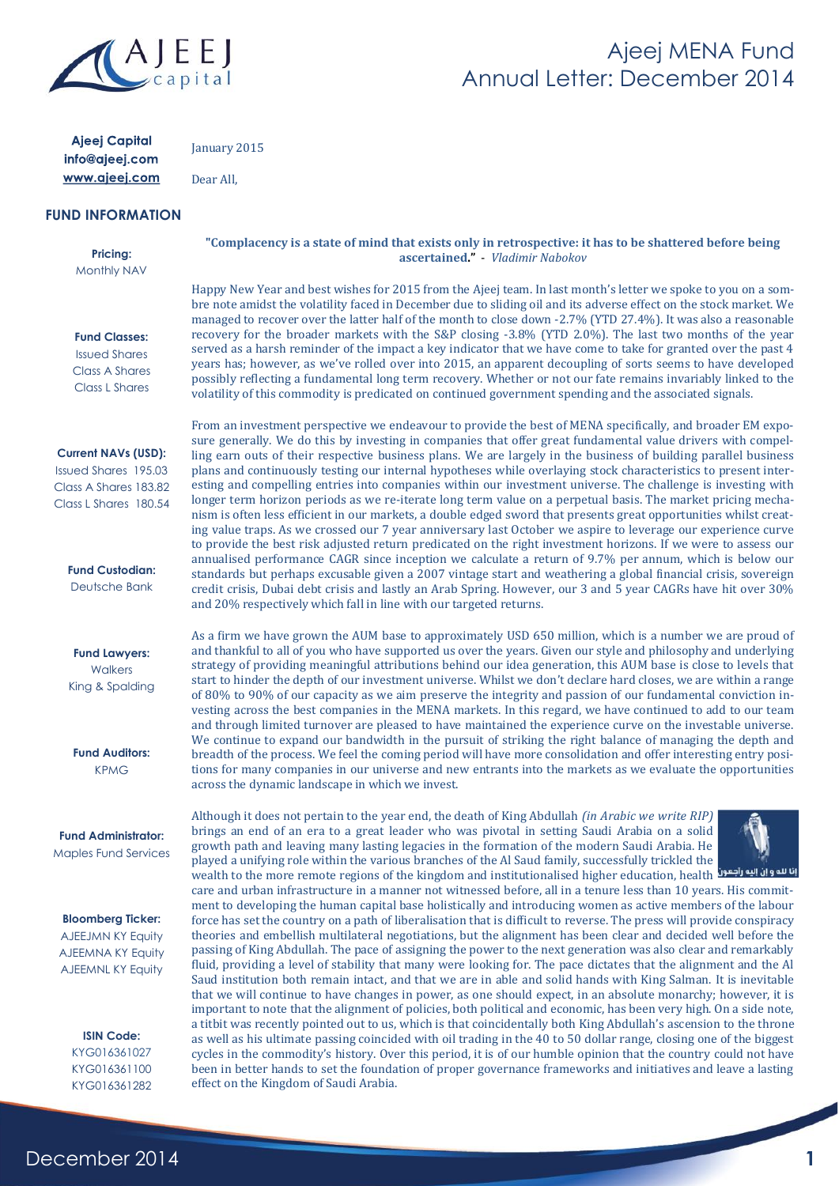

### Ajeej MENA Fund Annual Letter: December 2014

| Ajeej Capital<br>info@ajeej.com                                                                             | January 2015                                                                                                                                                                                                                                                                                                                                                                                                                                                                                                                                                                                                                                                                                                                                                                                                                                                                                                                           |
|-------------------------------------------------------------------------------------------------------------|----------------------------------------------------------------------------------------------------------------------------------------------------------------------------------------------------------------------------------------------------------------------------------------------------------------------------------------------------------------------------------------------------------------------------------------------------------------------------------------------------------------------------------------------------------------------------------------------------------------------------------------------------------------------------------------------------------------------------------------------------------------------------------------------------------------------------------------------------------------------------------------------------------------------------------------|
| www.ajeej.com                                                                                               | Dear All,                                                                                                                                                                                                                                                                                                                                                                                                                                                                                                                                                                                                                                                                                                                                                                                                                                                                                                                              |
| <b>FUND INFORMATION</b>                                                                                     |                                                                                                                                                                                                                                                                                                                                                                                                                                                                                                                                                                                                                                                                                                                                                                                                                                                                                                                                        |
| <b>Pricing:</b><br>Monthly NAV                                                                              | "Complacency is a state of mind that exists only in retrospective: it has to be shattered before being<br>ascertained." Vladimir Nabokov                                                                                                                                                                                                                                                                                                                                                                                                                                                                                                                                                                                                                                                                                                                                                                                               |
| <b>Fund Classes:</b><br><b>Issued Shares</b><br><b>Class A Shares</b><br><b>Class L Shares</b>              | Happy New Year and best wishes for 2015 from the Ajeej team. In last month's letter we spoke to you on a som-<br>bre note amidst the volatility faced in December due to sliding oil and its adverse effect on the stock market. We<br>managed to recover over the latter half of the month to close down -2.7% (YTD 27.4%). It was also a reasonable<br>recovery for the broader markets with the S&P closing -3.8% (YTD 2.0%). The last two months of the year<br>served as a harsh reminder of the impact a key indicator that we have come to take for granted over the past 4<br>years has; however, as we've rolled over into 2015, an apparent decoupling of sorts seems to have developed<br>possibly reflecting a fundamental long term recovery. Whether or not our fate remains invariably linked to the<br>volatility of this commodity is predicated on continued government spending and the associated signals.         |
| <b>Current NAVs (USD):</b><br><b>Issued Shares 195.03</b><br>Class A Shares 183.82<br>Class L Shares 180.54 | From an investment perspective we endeavour to provide the best of MENA specifically, and broader EM expo-<br>sure generally. We do this by investing in companies that offer great fundamental value drivers with compel-<br>ling earn outs of their respective business plans. We are largely in the business of building parallel business<br>plans and continuously testing our internal hypotheses while overlaying stock characteristics to present inter-<br>esting and compelling entries into companies within our investment universe. The challenge is investing with<br>longer term horizon periods as we re-iterate long term value on a perpetual basis. The market pricing mecha-<br>nism is often less efficient in our markets, a double edged sword that presents great opportunities whilst creat-<br>ing value traps. As we crossed our 7 year anniversary last October we aspire to leverage our experience curve |
| <b>Fund Custodian:</b><br>Deutsche Bank                                                                     | to provide the best risk adjusted return predicated on the right investment horizons. If we were to assess our<br>annualised performance CAGR since inception we calculate a return of 9.7% per annum, which is below our<br>standards but perhaps excusable given a 2007 vintage start and weathering a global financial crisis, sovereign<br>credit crisis, Dubai debt crisis and lastly an Arab Spring. However, our 3 and 5 year CAGRs have hit over 30%<br>and 20% respectively which fall in line with our targeted returns.                                                                                                                                                                                                                                                                                                                                                                                                     |
| <b>Fund Lawyers:</b><br>Walkers<br>King & Spalding                                                          | As a firm we have grown the AUM base to approximately USD 650 million, which is a number we are proud of<br>and thankful to all of you who have supported us over the years. Given our style and philosophy and underlying<br>strategy of providing meaningful attributions behind our idea generation, this AUM base is close to levels that<br>start to hinder the depth of our investment universe. Whilst we don't declare hard closes, we are within a range<br>of 80% to 90% of our capacity as we aim preserve the integrity and passion of our fundamental conviction in-<br>vesting across the best companies in the MENA markets. In this regard, we have continued to add to our team<br>and through limited turnover are pleased to have maintained the experience curve on the investable universe.<br>We continue to expand our bandwidth in the pursuit of striking the right balance of managing the depth and         |
| <b>Fund Auditors:</b><br><b>KPMG</b>                                                                        | breadth of the process. We feel the coming period will have more consolidation and offer interesting entry posi-<br>tions for many companies in our universe and new entrants into the markets as we evaluate the opportunities<br>across the dynamic landscape in which we invest.                                                                                                                                                                                                                                                                                                                                                                                                                                                                                                                                                                                                                                                    |
| <b>Fund Administrator:</b><br><b>Maples Fund Services</b>                                                   | Although it does not pertain to the year end, the death of King Abdullah <i>(in Arabic we write RIP)</i><br>brings an end of an era to a great leader who was pivotal in setting Saudi Arabia on a solid<br>growth path and leaving many lasting legacies in the formation of the modern Saudi Arabia. He<br>played a unifying role within the various branches of the Al Saud family, successfully trickled the<br>wealth to the more remote regions of the kingdom and institutionalised higher education, health انا لله وان البه راجعوا<br>care and urban infrastructure in a manner not witnessed before, all in a tenure less than 10 years. His commit-<br>ment to developing the human capital base holistically and introducing women as active members of the labour                                                                                                                                                         |
| <b>Bloomberg Ticker:</b><br>AJEEJMN KY Equity<br><b>AJEEMNA KY Equity</b><br><b>AJEEMNL KY Equity</b>       | force has set the country on a path of liberalisation that is difficult to reverse. The press will provide conspiracy<br>theories and embellish multilateral negotiations, but the alignment has been clear and decided well before the<br>passing of King Abdullah. The pace of assigning the power to the next generation was also clear and remarkably<br>fluid, providing a level of stability that many were looking for. The pace dictates that the alignment and the Al<br>Saud institution both remain intact, and that we are in able and solid hands with King Salman. It is inevitable<br>that we will continue to have changes in power, as one should expect, in an absolute monarchy; however, it is<br>important to note that the alignment of policies, both political and economic, has been very high. On a side note,                                                                                               |
| <b>ISIN Code:</b><br>KYG016361027<br>KYG016361100<br>KYG016361282                                           | a titbit was recently pointed out to us, which is that coincidentally both King Abdullah's ascension to the throne<br>as well as his ultimate passing coincided with oil trading in the 40 to 50 dollar range, closing one of the biggest<br>cycles in the commodity's history. Over this period, it is of our humble opinion that the country could not have<br>been in better hands to set the foundation of proper governance frameworks and initiatives and leave a lasting<br>effect on the Kingdom of Saudi Arabia.                                                                                                                                                                                                                                                                                                                                                                                                              |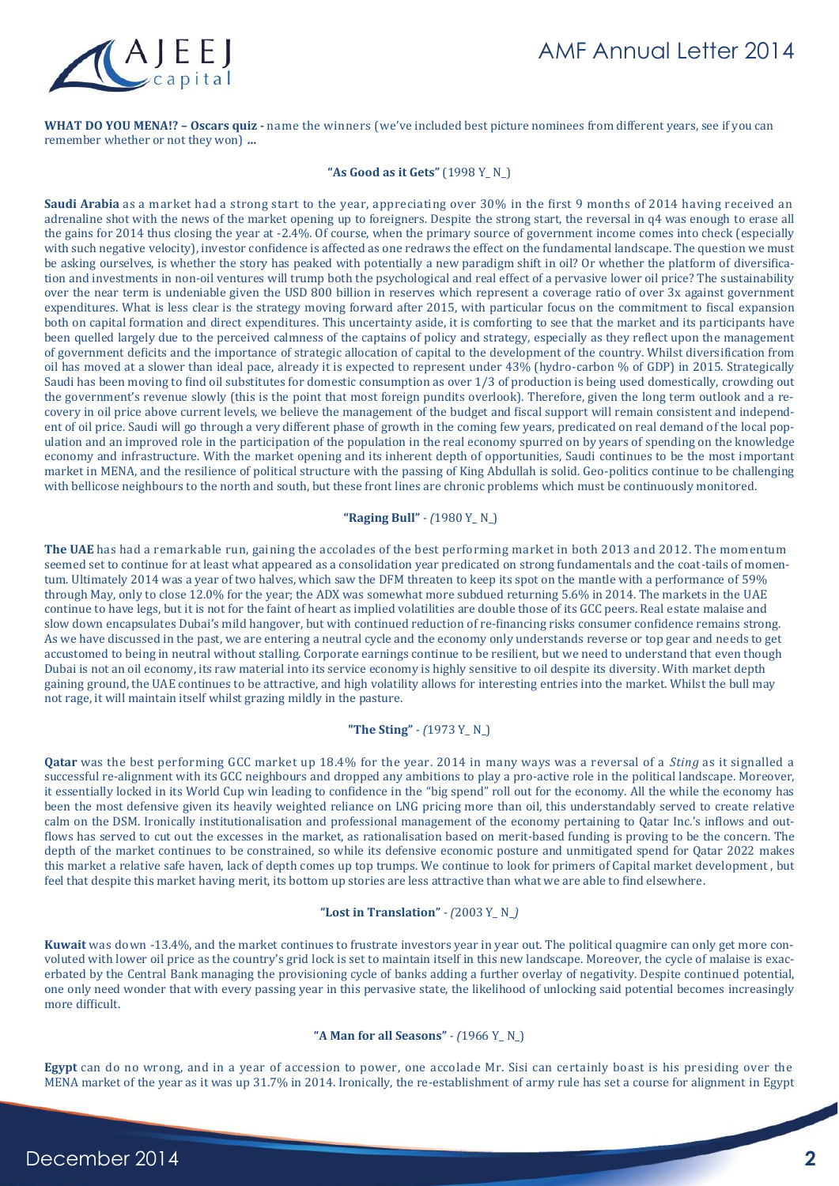

**WHAT DO YOU MENA!? – Oscars quiz -** name the winners (we've included best picture nominees from different years, see if you can remember whether or not they won) **…**

#### **"As Good as it Gets"** (1998 Y\_ N\_)

**Saudi Arabia** as a market had a strong start to the year, appreciating over 30% in the first 9 months of 2014 having received an adrenaline shot with the news of the market opening up to foreigners. Despite the strong start, the reversal in q4 was enough to erase all the gains for 2014 thus closing the year at -2.4%. Of course, when the primary source of government income comes into check (especially with such negative velocity), investor confidence is affected as one redraws the effect on the fundamental landscape. The question we must be asking ourselves, is whether the story has peaked with potentially a new paradigm shift in oil? Or whether the platform of diversification and investments in non-oil ventures will trump both the psychological and real effect of a pervasive lower oil price? The sustainability over the near term is undeniable given the USD 800 billion in reserves which represent a coverage ratio of over 3x against government expenditures. What is less clear is the strategy moving forward after 2015, with particular focus on the commitment to fiscal expansion both on capital formation and direct expenditures. This uncertainty aside, it is comforting to see that the market and its participants have been quelled largely due to the perceived calmness of the captains of policy and strategy, especially as they reflect upon the management of government deficits and the importance of strategic allocation of capital to the development of the country. Whilst diversification from oil has moved at a slower than ideal pace, already it is expected to represent under 43% (hydro-carbon % of GDP) in 2015. Strategically Saudi has been moving to find oil substitutes for domestic consumption as over 1/3 of production is being used domestically, crowding out the government's revenue slowly (this is the point that most foreign pundits overlook). Therefore, given the long term outlook and a recovery in oil price above current levels, we believe the management of the budget and fiscal support will remain consistent and independent of oil price. Saudi will go through a very different phase of growth in the coming few years, predicated on real demand of the local population and an improved role in the participation of the population in the real economy spurred on by years of spending on the knowledge economy and infrastructure. With the market opening and its inherent depth of opportunities, Saudi continues to be the most important market in MENA, and the resilience of political structure with the passing of King Abdullah is solid. Geo-politics continue to be challenging with bellicose neighbours to the north and south, but these front lines are chronic problems which must be continuously monitored.

#### **"Raging Bull"** *- (*1980 Y\_ N\_)

**The UAE** has had a remarkable run, gaining the accolades of the best performing market in both 2013 and 2012. The momentum seemed set to continue for at least what appeared as a consolidation year predicated on strong fundamentals and the coat-tails of momentum. Ultimately 2014 was a year of two halves, which saw the DFM threaten to keep its spot on the mantle with a performance of 59% through May, only to close 12.0% for the year; the ADX was somewhat more subdued returning 5.6% in 2014. The markets in the UAE continue to have legs, but it is not for the faint of heart as implied volatilities are double those of its GCC peers. Real estate malaise and slow down encapsulates Dubai's mild hangover, but with continued reduction of re-financing risks consumer confidence remains strong. As we have discussed in the past, we are entering a neutral cycle and the economy only understands reverse or top gear and needs to get accustomed to being in neutral without stalling. Corporate earnings continue to be resilient, but we need to understand that even though Dubai is not an oil economy, its raw material into its service economy is highly sensitive to oil despite its diversity. With market depth gaining ground, the UAE continues to be attractive, and high volatility allows for interesting entries into the market. Whilst the bull may not rage, it will maintain itself whilst grazing mildly in the pasture.

#### **"The Sting"** *- (*1973 Y\_ N\_)

**Qatar** was the best performing GCC market up 18.4% for the year. 2014 in many ways was a reversal of a *Sting* as it signalled a successful re-alignment with its GCC neighbours and dropped any ambitions to play a pro-active role in the political landscape. Moreover, it essentially locked in its World Cup win leading to confidence in the "big spend" roll out for the economy. All the while the economy has been the most defensive given its heavily weighted reliance on LNG pricing more than oil, this understandably served to create relative calm on the DSM. Ironically institutionalisation and professional management of the economy pertaining to Qatar Inc.'s inflows and outflows has served to cut out the excesses in the market, as rationalisation based on merit-based funding is proving to be the concern. The depth of the market continues to be constrained, so while its defensive economic posture and unmitigated spend for Qatar 2022 makes this market a relative safe haven, lack of depth comes up top trumps. We continue to look for primers of Capital market development , but feel that despite this market having merit, its bottom up stories are less attractive than what we are able to find elsewhere.

#### **"Lost in Translation"** *- (*2003 Y\_ N\_*)*

**Kuwait** was down -13.4%, and the market continues to frustrate investors year in year out. The political quagmire can only get more convoluted with lower oil price as the country's grid lock is set to maintain itself in this new landscape. Moreover, the cycle of malaise is exacerbated by the Central Bank managing the provisioning cycle of banks adding a further overlay of negativity. Despite continued potential, one only need wonder that with every passing year in this pervasive state, the likelihood of unlocking said potential becomes increasingly more difficult.

#### **"A Man for all Seasons"** *- (*1966 Y\_ N\_)

**Egypt** can do no wrong, and in a year of accession to power, one accolade Mr. Sisi can certainly boast is his presiding over the MENA market of the year as it was up 31.7% in 2014. Ironically, the re-establishment of army rule has set a course for alignment in Egypt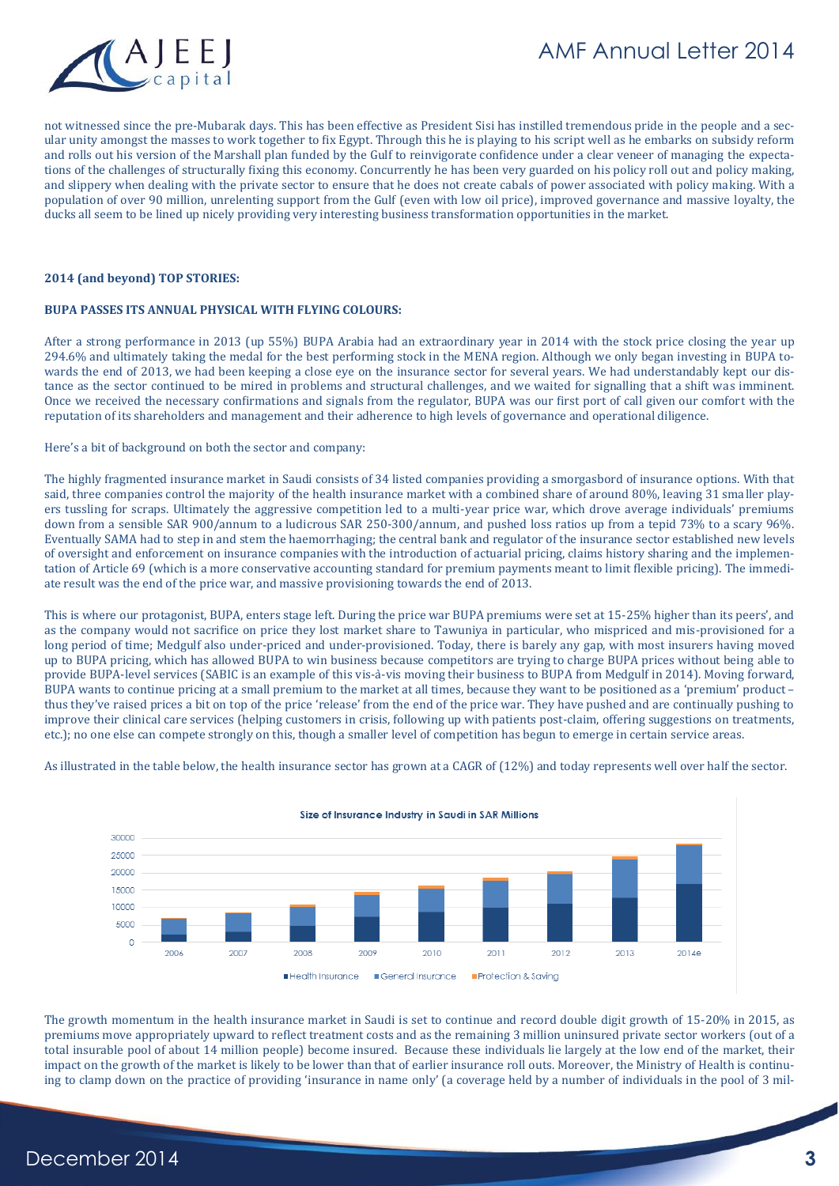

not witnessed since the pre-Mubarak days. This has been effective as President Sisi has instilled tremendous pride in the people and a secular unity amongst the masses to work together to fix Egypt. Through this he is playing to his script well as he embarks on subsidy reform and rolls out his version of the Marshall plan funded by the Gulf to reinvigorate confidence under a clear veneer of managing the expectations of the challenges of structurally fixing this economy. Concurrently he has been very guarded on his policy roll out and policy making, and slippery when dealing with the private sector to ensure that he does not create cabals of power associated with policy making. With a population of over 90 million, unrelenting support from the Gulf (even with low oil price), improved governance and massive loyalty, the ducks all seem to be lined up nicely providing very interesting business transformation opportunities in the market.

#### **2014 (and beyond) TOP STORIES:**

#### **BUPA PASSES ITS ANNUAL PHYSICAL WITH FLYING COLOURS:**

After a strong performance in 2013 (up 55%) BUPA Arabia had an extraordinary year in 2014 with the stock price closing the year up 294.6% and ultimately taking the medal for the best performing stock in the MENA region. Although we only began investing in BUPA towards the end of 2013, we had been keeping a close eye on the insurance sector for several years. We had understandably kept our distance as the sector continued to be mired in problems and structural challenges, and we waited for signalling that a shift was imminent. Once we received the necessary confirmations and signals from the regulator, BUPA was our first port of call given our comfort with the reputation of its shareholders and management and their adherence to high levels of governance and operational diligence.

Here's a bit of background on both the sector and company:

The highly fragmented insurance market in Saudi consists of 34 listed companies providing a smorgasbord of insurance options. With that said, three companies control the majority of the health insurance market with a combined share of around 80%, leaving 31 smaller players tussling for scraps. Ultimately the aggressive competition led to a multi-year price war, which drove average individuals' premiums down from a sensible SAR 900/annum to a ludicrous SAR 250-300/annum, and pushed loss ratios up from a tepid 73% to a scary 96%. Eventually SAMA had to step in and stem the haemorrhaging; the central bank and regulator of the insurance sector established new levels of oversight and enforcement on insurance companies with the introduction of actuarial pricing, claims history sharing and the implementation of Article 69 (which is a more conservative accounting standard for premium payments meant to limit flexible pricing). The immediate result was the end of the price war, and massive provisioning towards the end of 2013.

This is where our protagonist, BUPA, enters stage left. During the price war BUPA premiums were set at 15-25% higher than its peers', and as the company would not sacrifice on price they lost market share to Tawuniya in particular, who mispriced and mis-provisioned for a long period of time; Medgulf also under-priced and under-provisioned. Today, there is barely any gap, with most insurers having moved up to BUPA pricing, which has allowed BUPA to win business because competitors are trying to charge BUPA prices without being able to provide BUPA-level services (SABIC is an example of this vis-à-vis moving their business to BUPA from Medgulf in 2014). Moving forward, BUPA wants to continue pricing at a small premium to the market at all times, because they want to be positioned as a 'premium' product – thus they've raised prices a bit on top of the price 'release' from the end of the price war. They have pushed and are continually pushing to improve their clinical care services (helping customers in crisis, following up with patients post-claim, offering suggestions on treatments, etc.); no one else can compete strongly on this, though a smaller level of competition has begun to emerge in certain service areas.

As illustrated in the table below, the health insurance sector has grown at a CAGR of (12%) and today represents well over half the sector.



#### Size of Insurance Industry in Saudi in SAR Millions

The growth momentum in the health insurance market in Saudi is set to continue and record double digit growth of 15-20% in 2015, as premiums move appropriately upward to reflect treatment costs and as the remaining 3 million uninsured private sector workers (out of a total insurable pool of about 14 million people) become insured. Because these individuals lie largely at the low end of the market, their impact on the growth of the market is likely to be lower than that of earlier insurance roll outs. Moreover, the Ministry of Health is continuing to clamp down on the practice of providing 'insurance in name only' (a coverage held by a number of individuals in the pool of 3 mil-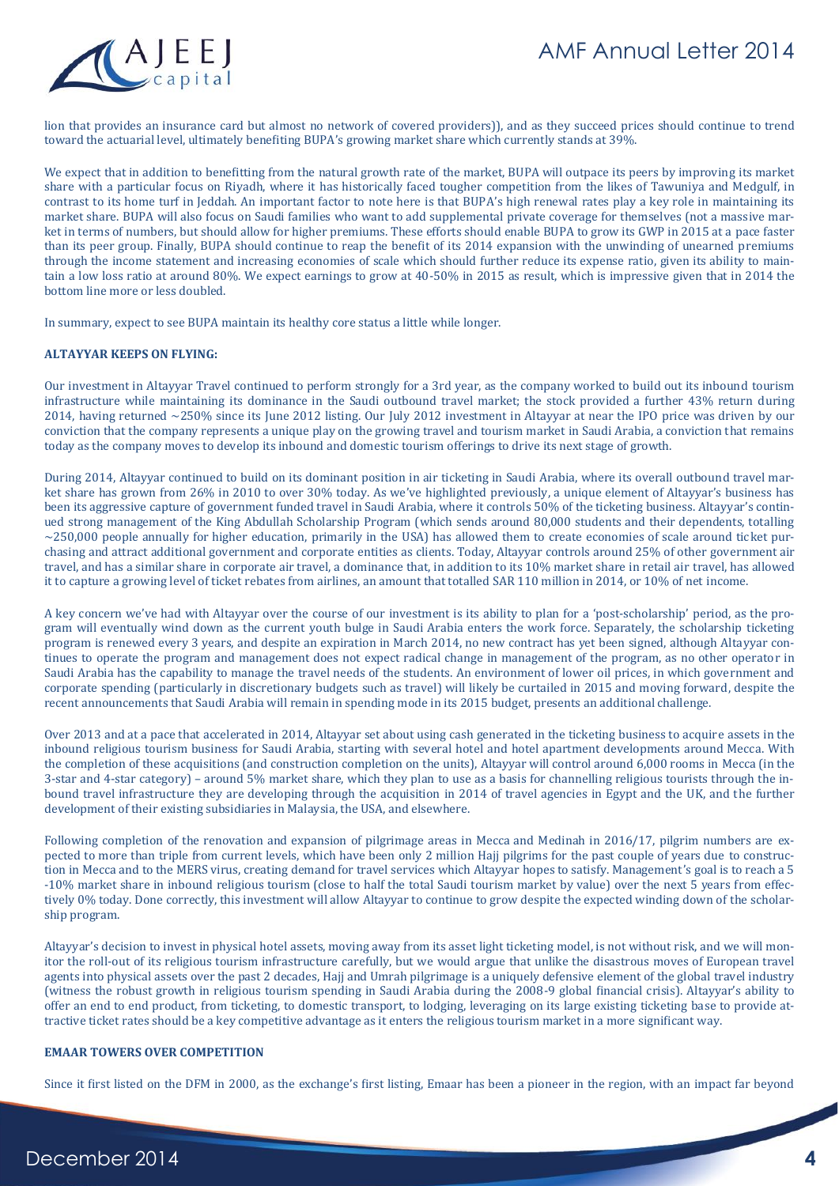

lion that provides an insurance card but almost no network of covered providers)), and as they succeed prices should continue to trend toward the actuarial level, ultimately benefiting BUPA's growing market share which currently stands at 39%.

We expect that in addition to benefitting from the natural growth rate of the market, BUPA will outpace its peers by improving its market share with a particular focus on Riyadh, where it has historically faced tougher competition from the likes of Tawuniya and Medgulf, in contrast to its home turf in Jeddah. An important factor to note here is that BUPA's high renewal rates play a key role in maintaining its market share. BUPA will also focus on Saudi families who want to add supplemental private coverage for themselves (not a massive market in terms of numbers, but should allow for higher premiums. These efforts should enable BUPA to grow its GWP in 2015 at a pace faster than its peer group. Finally, BUPA should continue to reap the benefit of its 2014 expansion with the unwinding of unearned premiums through the income statement and increasing economies of scale which should further reduce its expense ratio, given its ability to maintain a low loss ratio at around 80%. We expect earnings to grow at 40-50% in 2015 as result, which is impressive given that in 2014 the bottom line more or less doubled.

In summary, expect to see BUPA maintain its healthy core status a little while longer.

#### **ALTAYYAR KEEPS ON FLYING:**

Our investment in Altayyar Travel continued to perform strongly for a 3rd year, as the company worked to build out its inbound tourism infrastructure while maintaining its dominance in the Saudi outbound travel market; the stock provided a further 43% return during 2014, having returned ~250% since its June 2012 listing. Our July 2012 investment in Altayyar at near the IPO price was driven by our conviction that the company represents a unique play on the growing travel and tourism market in Saudi Arabia, a conviction that remains today as the company moves to develop its inbound and domestic tourism offerings to drive its next stage of growth.

During 2014, Altayyar continued to build on its dominant position in air ticketing in Saudi Arabia, where its overall outbound travel market share has grown from 26% in 2010 to over 30% today. As we've highlighted previously, a unique element of Altayyar's business has been its aggressive capture of government funded travel in Saudi Arabia, where it controls 50% of the ticketing business. Altayyar's continued strong management of the King Abdullah Scholarship Program (which sends around 80,000 students and their dependents, totalling  $\sim$ 250,000 people annually for higher education, primarily in the USA) has allowed them to create economies of scale around ticket purchasing and attract additional government and corporate entities as clients. Today, Altayyar controls around 25% of other government air travel, and has a similar share in corporate air travel, a dominance that, in addition to its 10% market share in retail air travel, has allowed it to capture a growing level of ticket rebates from airlines, an amount that totalled SAR 110 million in 2014, or 10% of net income.

A key concern we've had with Altayyar over the course of our investment is its ability to plan for a 'post-scholarship' period, as the program will eventually wind down as the current youth bulge in Saudi Arabia enters the work force. Separately, the scholarship ticketing program is renewed every 3 years, and despite an expiration in March 2014, no new contract has yet been signed, although Altayyar continues to operate the program and management does not expect radical change in management of the program, as no other operator in Saudi Arabia has the capability to manage the travel needs of the students. An environment of lower oil prices, in which government and corporate spending (particularly in discretionary budgets such as travel) will likely be curtailed in 2015 and moving forward, despite the recent announcements that Saudi Arabia will remain in spending mode in its 2015 budget, presents an additional challenge.

Over 2013 and at a pace that accelerated in 2014, Altayyar set about using cash generated in the ticketing business to acquire assets in the inbound religious tourism business for Saudi Arabia, starting with several hotel and hotel apartment developments around Mecca. With the completion of these acquisitions (and construction completion on the units), Altayyar will control around 6,000 rooms in Mecca (in the 3-star and 4-star category) – around 5% market share, which they plan to use as a basis for channelling religious tourists through the inbound travel infrastructure they are developing through the acquisition in 2014 of travel agencies in Egypt and the UK, and the further development of their existing subsidiaries in Malaysia, the USA, and elsewhere.

Following completion of the renovation and expansion of pilgrimage areas in Mecca and Medinah in 2016/17, pilgrim numbers are expected to more than triple from current levels, which have been only 2 million Hajj pilgrims for the past couple of years due to construction in Mecca and to the MERS virus, creating demand for travel services which Altayyar hopes to satisfy. Management's goal is to reach a 5 -10% market share in inbound religious tourism (close to half the total Saudi tourism market by value) over the next 5 years from effectively 0% today. Done correctly, this investment will allow Altayyar to continue to grow despite the expected winding down of the scholarship program.

Altayyar's decision to invest in physical hotel assets, moving away from its asset light ticketing model, is not without risk, and we will monitor the roll-out of its religious tourism infrastructure carefully, but we would argue that unlike the disastrous moves of European travel agents into physical assets over the past 2 decades, Hajj and Umrah pilgrimage is a uniquely defensive element of the global travel industry (witness the robust growth in religious tourism spending in Saudi Arabia during the 2008-9 global financial crisis). Altayyar's ability to offer an end to end product, from ticketing, to domestic transport, to lodging, leveraging on its large existing ticketing base to provide attractive ticket rates should be a key competitive advantage as it enters the religious tourism market in a more significant way.

#### **EMAAR TOWERS OVER COMPETITION**

Since it first listed on the DFM in 2000, as the exchange's first listing, Emaar has been a pioneer in the region, with an impact far beyond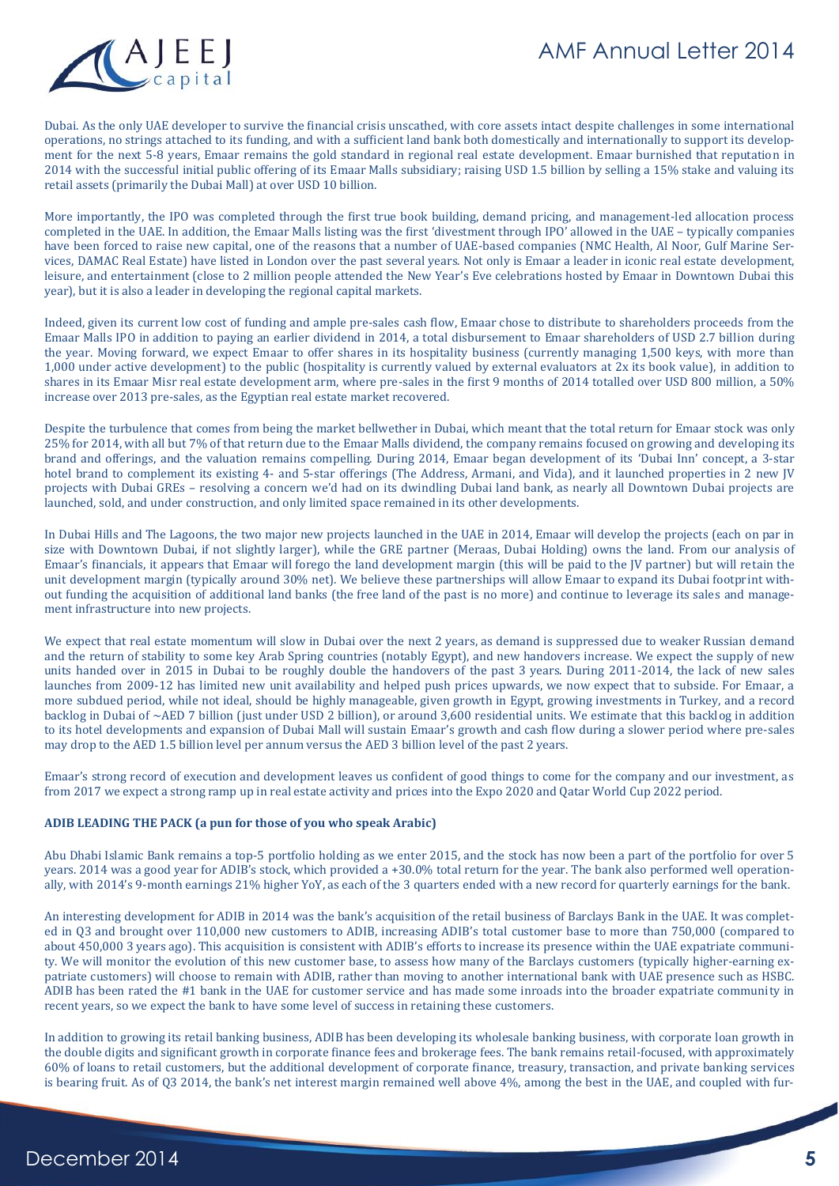

Dubai. As the only UAE developer to survive the financial crisis unscathed, with core assets intact despite challenges in some international operations, no strings attached to its funding, and with a sufficient land bank both domestically and internationally to support its development for the next 5-8 years, Emaar remains the gold standard in regional real estate development. Emaar burnished that reputation in 2014 with the successful initial public offering of its Emaar Malls subsidiary; raising USD 1.5 billion by selling a 15% stake and valuing its retail assets (primarily the Dubai Mall) at over USD 10 billion.

More importantly, the IPO was completed through the first true book building, demand pricing, and management-led allocation process completed in the UAE. In addition, the Emaar Malls listing was the first 'divestment through IPO' allowed in the UAE – typically companies have been forced to raise new capital, one of the reasons that a number of UAE-based companies (NMC Health, Al Noor, Gulf Marine Services, DAMAC Real Estate) have listed in London over the past several years. Not only is Emaar a leader in iconic real estate development, leisure, and entertainment (close to 2 million people attended the New Year's Eve celebrations hosted by Emaar in Downtown Dubai this year), but it is also a leader in developing the regional capital markets.

Indeed, given its current low cost of funding and ample pre-sales cash flow, Emaar chose to distribute to shareholders proceeds from the Emaar Malls IPO in addition to paying an earlier dividend in 2014, a total disbursement to Emaar shareholders of USD 2.7 billion during the year. Moving forward, we expect Emaar to offer shares in its hospitality business (currently managing 1,500 keys, with more than 1,000 under active development) to the public (hospitality is currently valued by external evaluators at 2x its book value), in addition to shares in its Emaar Misr real estate development arm, where pre-sales in the first 9 months of 2014 totalled over USD 800 million, a 50% increase over 2013 pre-sales, as the Egyptian real estate market recovered.

Despite the turbulence that comes from being the market bellwether in Dubai, which meant that the total return for Emaar stock was only 25% for 2014, with all but 7% of that return due to the Emaar Malls dividend, the company remains focused on growing and developing its brand and offerings, and the valuation remains compelling. During 2014, Emaar began development of its 'Dubai Inn' concept, a 3-star hotel brand to complement its existing 4- and 5-star offerings (The Address, Armani, and Vida), and it launched properties in 2 new JV projects with Dubai GREs – resolving a concern we'd had on its dwindling Dubai land bank, as nearly all Downtown Dubai projects are launched, sold, and under construction, and only limited space remained in its other developments.

In Dubai Hills and The Lagoons, the two major new projects launched in the UAE in 2014, Emaar will develop the projects (each on par in size with Downtown Dubai, if not slightly larger), while the GRE partner (Meraas, Dubai Holding) owns the land. From our analysis of Emaar's financials, it appears that Emaar will forego the land development margin (this will be paid to the JV partner) but will retain the unit development margin (typically around 30% net). We believe these partnerships will allow Emaar to expand its Dubai footprint without funding the acquisition of additional land banks (the free land of the past is no more) and continue to leverage its sales and management infrastructure into new projects.

We expect that real estate momentum will slow in Dubai over the next 2 years, as demand is suppressed due to weaker Russian demand and the return of stability to some key Arab Spring countries (notably Egypt), and new handovers increase. We expect the supply of new units handed over in 2015 in Dubai to be roughly double the handovers of the past 3 years. During 2011-2014, the lack of new sales launches from 2009-12 has limited new unit availability and helped push prices upwards, we now expect that to subside. For Emaar, a more subdued period, while not ideal, should be highly manageable, given growth in Egypt, growing investments in Turkey, and a record backlog in Dubai of ~AED 7 billion (just under USD 2 billion), or around 3,600 residential units. We estimate that this backlog in addition to its hotel developments and expansion of Dubai Mall will sustain Emaar's growth and cash flow during a slower period where pre-sales may drop to the AED 1.5 billion level per annum versus the AED 3 billion level of the past 2 years.

Emaar's strong record of execution and development leaves us confident of good things to come for the company and our investment, as from 2017 we expect a strong ramp up in real estate activity and prices into the Expo 2020 and Qatar World Cup 2022 period.

#### **ADIB LEADING THE PACK (a pun for those of you who speak Arabic)**

Abu Dhabi Islamic Bank remains a top-5 portfolio holding as we enter 2015, and the stock has now been a part of the portfolio for over 5 years. 2014 was a good year for ADIB's stock, which provided a +30.0% total return for the year. The bank also performed well operationally, with 2014's 9-month earnings 21% higher YoY, as each of the 3 quarters ended with a new record for quarterly earnings for the bank.

An interesting development for ADIB in 2014 was the bank's acquisition of the retail business of Barclays Bank in the UAE. It was completed in Q3 and brought over 110,000 new customers to ADIB, increasing ADIB's total customer base to more than 750,000 (compared to about 450,000 3 years ago). This acquisition is consistent with ADIB's efforts to increase its presence within the UAE expatriate community. We will monitor the evolution of this new customer base, to assess how many of the Barclays customers (typically higher-earning expatriate customers) will choose to remain with ADIB, rather than moving to another international bank with UAE presence such as HSBC. ADIB has been rated the #1 bank in the UAE for customer service and has made some inroads into the broader expatriate community in recent years, so we expect the bank to have some level of success in retaining these customers.

In addition to growing its retail banking business, ADIB has been developing its wholesale banking business, with corporate loan growth in the double digits and significant growth in corporate finance fees and brokerage fees. The bank remains retail-focused, with approximately 60% of loans to retail customers, but the additional development of corporate finance, treasury, transaction, and private banking services is bearing fruit. As of Q3 2014, the bank's net interest margin remained well above 4%, among the best in the UAE, and coupled with fur-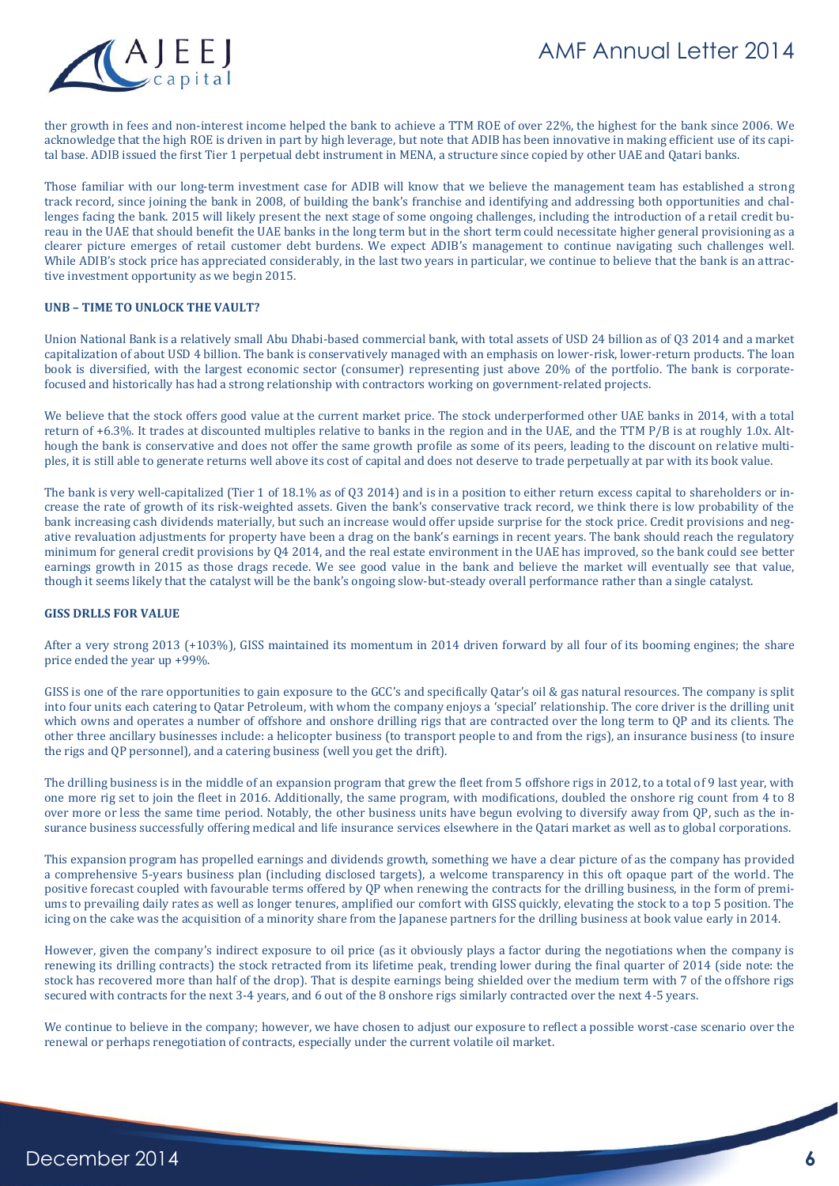



ther growth in fees and non-interest income helped the bank to achieve a TTM ROE of over 22%, the highest for the bank since 2006. We acknowledge that the high ROE is driven in part by high leverage, but note that ADIB has been innovative in making efficient use of its capital base. ADIB issued the first Tier 1 perpetual debt instrument in MENA, a structure since copied by other UAE and Qatari banks.

Those familiar with our long-term investment case for ADIB will know that we believe the management team has established a strong track record, since joining the bank in 2008, of building the bank's franchise and identifying and addressing both opportunities and challenges facing the bank. 2015 will likely present the next stage of some ongoing challenges, including the introduction of a retail credit bureau in the UAE that should benefit the UAE banks in the long term but in the short term could necessitate higher general provisioning as a clearer picture emerges of retail customer debt burdens. We expect ADIB's management to continue navigating such challenges well. While ADIB's stock price has appreciated considerably, in the last two years in particular, we continue to believe that the bank is an attractive investment opportunity as we begin 2015.

#### **UNB – TIME TO UNLOCK THE VAULT?**

Union National Bank is a relatively small Abu Dhabi-based commercial bank, with total assets of USD 24 billion as of Q3 2014 and a market capitalization of about USD 4 billion. The bank is conservatively managed with an emphasis on lower-risk, lower-return products. The loan book is diversified, with the largest economic sector (consumer) representing just above 20% of the portfolio. The bank is corporatefocused and historically has had a strong relationship with contractors working on government-related projects.

We believe that the stock offers good value at the current market price. The stock underperformed other UAE banks in 2014, with a total return of +6.3%. It trades at discounted multiples relative to banks in the region and in the UAE, and the TTM P/B is at roughly 1.0x. Although the bank is conservative and does not offer the same growth profile as some of its peers, leading to the discount on relative multiples, it is still able to generate returns well above its cost of capital and does not deserve to trade perpetually at par with its book value.

The bank is very well-capitalized (Tier 1 of 18.1% as of Q3 2014) and is in a position to either return excess capital to shareholders or increase the rate of growth of its risk-weighted assets. Given the bank's conservative track record, we think there is low probability of the bank increasing cash dividends materially, but such an increase would offer upside surprise for the stock price. Credit provisions and negative revaluation adjustments for property have been a drag on the bank's earnings in recent years. The bank should reach the regulatory minimum for general credit provisions by Q4 2014, and the real estate environment in the UAE has improved, so the bank could see better earnings growth in 2015 as those drags recede. We see good value in the bank and believe the market will eventually see that value, though it seems likely that the catalyst will be the bank's ongoing slow-but-steady overall performance rather than a single catalyst.

#### **GISS DRLLS FOR VALUE**

After a very strong 2013 (+103%), GISS maintained its momentum in 2014 driven forward by all four of its booming engines; the share price ended the year up +99%.

GISS is one of the rare opportunities to gain exposure to the GCC's and specifically Qatar's oil & gas natural resources. The company is split into four units each catering to Qatar Petroleum, with whom the company enjoys a 'special' relationship. The core driver is the drilling unit which owns and operates a number of offshore and onshore drilling rigs that are contracted over the long term to QP and its clients. The other three ancillary businesses include: a helicopter business (to transport people to and from the rigs), an insurance business (to insure the rigs and QP personnel), and a catering business (well you get the drift).

The drilling business is in the middle of an expansion program that grew the fleet from 5 offshore rigs in 2012, to a total of 9 last year, with one more rig set to join the fleet in 2016. Additionally, the same program, with modifications, doubled the onshore rig count from 4 to 8 over more or less the same time period. Notably, the other business units have begun evolving to diversify away from QP, such as the insurance business successfully offering medical and life insurance services elsewhere in the Qatari market as well as to global corporations.

This expansion program has propelled earnings and dividends growth, something we have a clear picture of as the company has provided a comprehensive 5-years business plan (including disclosed targets), a welcome transparency in this oft opaque part of the world. The positive forecast coupled with favourable terms offered by QP when renewing the contracts for the drilling business, in the form of premiums to prevailing daily rates as well as longer tenures, amplified our comfort with GISS quickly, elevating the stock to a top 5 position. The icing on the cake was the acquisition of a minority share from the Japanese partners for the drilling business at book value early in 2014.

However, given the company's indirect exposure to oil price (as it obviously plays a factor during the negotiations when the company is renewing its drilling contracts) the stock retracted from its lifetime peak, trending lower during the final quarter of 2014 (side note: the stock has recovered more than half of the drop). That is despite earnings being shielded over the medium term with 7 of the offshore rigs secured with contracts for the next 3-4 years, and 6 out of the 8 onshore rigs similarly contracted over the next 4-5 years.

We continue to believe in the company; however, we have chosen to adjust our exposure to reflect a possible worst-case scenario over the renewal or perhaps renegotiation of contracts, especially under the current volatile oil market.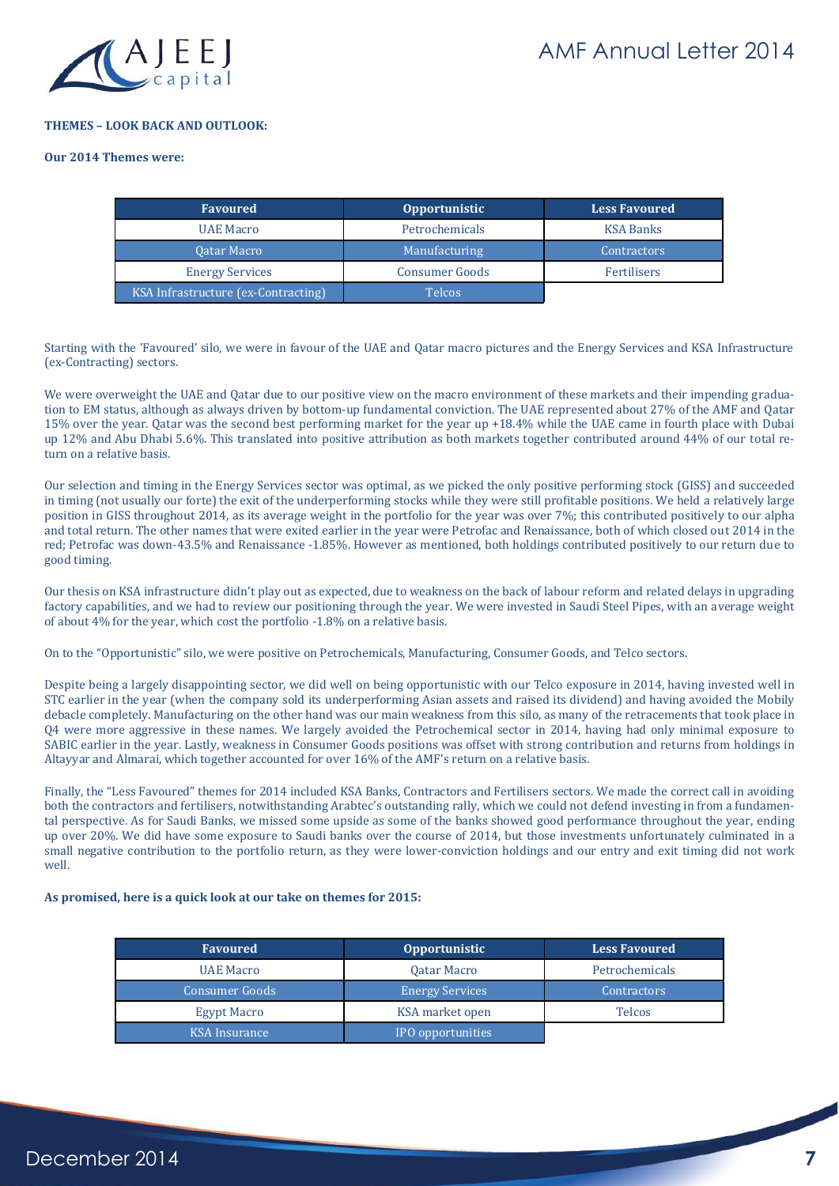

#### **THEMES – LOOK BACK AND OUTLOOK:**

#### **Our 2014 Themes were:**

| Favoured                            | <b>Opportunistic</b>  | <b>Less Favoured</b> |
|-------------------------------------|-----------------------|----------------------|
| <b>UAE Macro</b>                    | Petrochemicals        | <b>KSA Banks</b>     |
| <b>Oatar Macro</b>                  | Manufacturing         | <b>Contractors</b>   |
| <b>Energy Services</b>              | <b>Consumer Goods</b> | Fertilisers          |
| KSA Infrastructure (ex-Contracting) | <b>Telcos</b>         |                      |

Starting with the 'Favoured' silo, we were in favour of the UAE and Qatar macro pictures and the Energy Services and KSA Infrastructure (ex-Contracting) sectors.

We were overweight the UAE and Qatar due to our positive view on the macro environment of these markets and their impending graduation to EM status, although as always driven by bottom-up fundamental conviction. The UAE represented about 27% of the AMF and Qatar 15% over the year. Qatar was the second best performing market for the year up +18.4% while the UAE came in fourth place with Dubai up 12% and Abu Dhabi 5.6%. This translated into positive attribution as both markets together contributed around 44% of our total return on a relative basis.

Our selection and timing in the Energy Services sector was optimal, as we picked the only positive performing stock (GISS) and succeeded in timing (not usually our forte) the exit of the underperforming stocks while they were still profitable positions. We held a relatively large position in GISS throughout 2014, as its average weight in the portfolio for the year was over 7%; this contributed positively to our alpha and total return. The other names that were exited earlier in the year were Petrofac and Renaissance, both of which closed out 2014 in the red; Petrofac was down-43.5% and Renaissance -1.85%. However as mentioned, both holdings contributed positively to our return due to good timing.

Our thesis on KSA infrastructure didn't play out as expected, due to weakness on the back of labour reform and related delays in upgrading factory capabilities, and we had to review our positioning through the year. We were invested in Saudi Steel Pipes, with an average weight of about 4% for the year, which cost the portfolio -1.8% on a relative basis.

On to the "Opportunistic" silo, we were positive on Petrochemicals, Manufacturing, Consumer Goods, and Telco sectors.

Despite being a largely disappointing sector, we did well on being opportunistic with our Telco exposure in 2014, having invested well in STC earlier in the year (when the company sold its underperforming Asian assets and raised its dividend) and having avoided the Mobily debacle completely. Manufacturing on the other hand was our main weakness from this silo, as many of the retracements that took place in Q4 were more aggressive in these names. We largely avoided the Petrochemical sector in 2014, having had only minimal exposure to SABIC earlier in the year. Lastly, weakness in Consumer Goods positions was offset with strong contribution and returns from holdings in Altayyar and Almarai, which together accounted for over 16% of the AMF's return on a relative basis.

Finally, the "Less Favoured" themes for 2014 included KSA Banks, Contractors and Fertilisers sectors. We made the correct call in avoiding both the contractors and fertilisers, notwithstanding Arabtec's outstanding rally, which we could not defend investing in from a fundamental perspective. As for Saudi Banks, we missed some upside as some of the banks showed good performance throughout the year, ending up over 20%. We did have some exposure to Saudi banks over the course of 2014, but those investments unfortunately culminated in a small negative contribution to the portfolio return, as they were lower-conviction holdings and our entry and exit timing did not work well.

#### **As promised, here is a quick look at our take on themes for 2015:**

| <b>Favoured</b>       | <b>Opportunistic</b>   | <b>Less Favoured</b> |  |  |
|-----------------------|------------------------|----------------------|--|--|
| <b>UAE Macro</b>      | <b>Oatar Macro</b>     | Petrochemicals       |  |  |
| <b>Consumer Goods</b> | <b>Energy Services</b> | <b>Contractors</b>   |  |  |
| <b>Egypt Macro</b>    | KSA market open        | <b>Telcos</b>        |  |  |
| <b>KSA</b> Insurance  | IPO opportunities      |                      |  |  |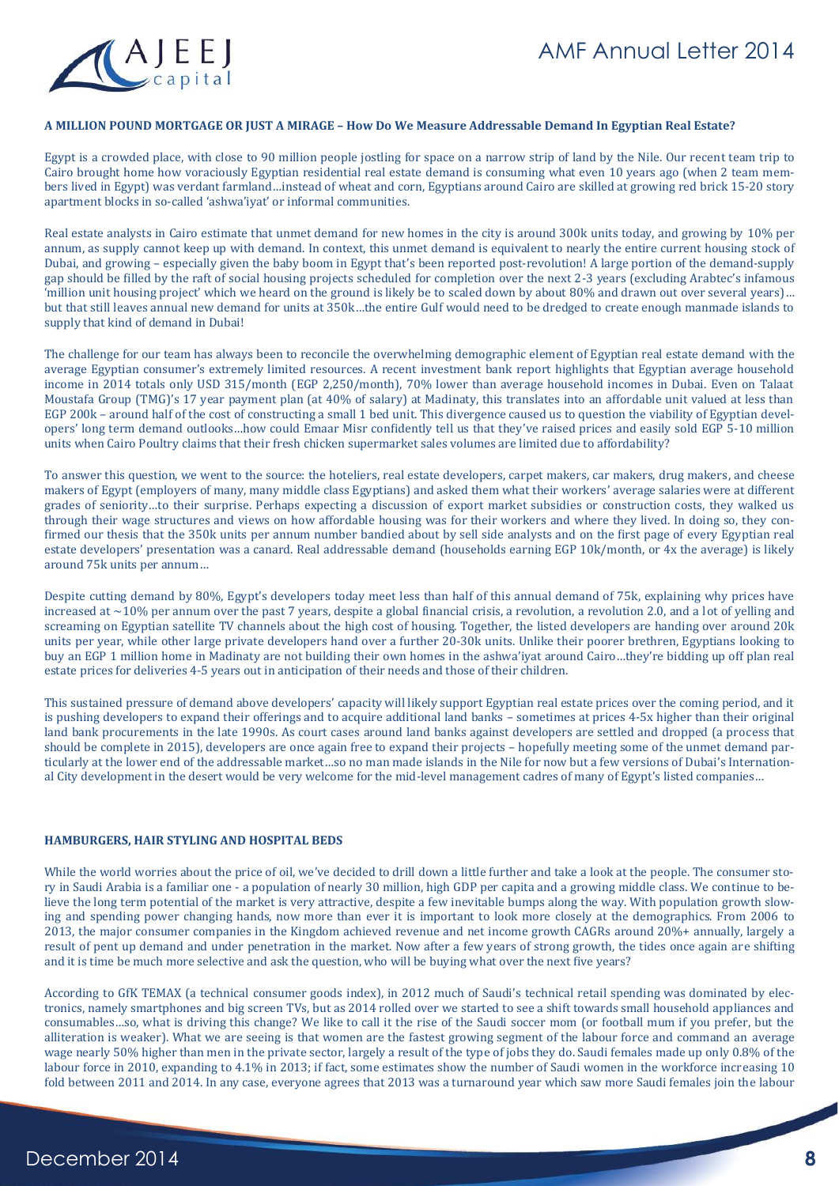

#### **A MILLION POUND MORTGAGE OR JUST A MIRAGE – How Do We Measure Addressable Demand In Egyptian Real Estate?**

Egypt is a crowded place, with close to 90 million people jostling for space on a narrow strip of land by the Nile. Our recent team trip to Cairo brought home how voraciously Egyptian residential real estate demand is consuming what even 10 years ago (when 2 team members lived in Egypt) was verdant farmland…instead of wheat and corn, Egyptians around Cairo are skilled at growing red brick 15-20 story apartment blocks in so-called 'ashwa'iyat' or informal communities.

Real estate analysts in Cairo estimate that unmet demand for new homes in the city is around 300k units today, and growing by 10% per annum, as supply cannot keep up with demand. In context, this unmet demand is equivalent to nearly the entire current housing stock of Dubai, and growing – especially given the baby boom in Egypt that's been reported post-revolution! A large portion of the demand-supply gap should be filled by the raft of social housing projects scheduled for completion over the next 2-3 years (excluding Arabtec's infamous 'million unit housing project' which we heard on the ground is likely be to scaled down by about 80% and drawn out over several years)… but that still leaves annual new demand for units at 350k…the entire Gulf would need to be dredged to create enough manmade islands to supply that kind of demand in Dubai!

The challenge for our team has always been to reconcile the overwhelming demographic element of Egyptian real estate demand with the average Egyptian consumer's extremely limited resources. A recent investment bank report highlights that Egyptian average household income in 2014 totals only USD 315/month (EGP 2,250/month), 70% lower than average household incomes in Dubai. Even on Talaat Moustafa Group (TMG)'s 17 year payment plan (at 40% of salary) at Madinaty, this translates into an affordable unit valued at less than EGP 200k – around half of the cost of constructing a small 1 bed unit. This divergence caused us to question the viability of Egyptian developers' long term demand outlooks…how could Emaar Misr confidently tell us that they've raised prices and easily sold EGP 5-10 million units when Cairo Poultry claims that their fresh chicken supermarket sales volumes are limited due to affordability?

To answer this question, we went to the source: the hoteliers, real estate developers, carpet makers, car makers, drug makers, and cheese makers of Egypt (employers of many, many middle class Egyptians) and asked them what their workers' average salaries were at different grades of seniority…to their surprise. Perhaps expecting a discussion of export market subsidies or construction costs, they walked us through their wage structures and views on how affordable housing was for their workers and where they lived. In doing so, they confirmed our thesis that the 350k units per annum number bandied about by sell side analysts and on the first page of every Egyptian real estate developers' presentation was a canard. Real addressable demand (households earning EGP 10k/month, or 4x the average) is likely around 75k units per annum…

Despite cutting demand by 80%, Egypt's developers today meet less than half of this annual demand of 75k, explaining why prices have increased at  $\sim$ 10% per annum over the past 7 years, despite a global financial crisis, a revolution, a revolution 2.0, and a lot of yelling and screaming on Egyptian satellite TV channels about the high cost of housing. Together, the listed developers are handing over around 20k units per year, while other large private developers hand over a further 20-30k units. Unlike their poorer brethren, Egyptians looking to buy an EGP 1 million home in Madinaty are not building their own homes in the ashwa'iyat around Cairo…they're bidding up off plan real estate prices for deliveries 4-5 years out in anticipation of their needs and those of their children.

This sustained pressure of demand above developers' capacity will likely support Egyptian real estate prices over the coming period, and it is pushing developers to expand their offerings and to acquire additional land banks – sometimes at prices 4-5x higher than their original land bank procurements in the late 1990s. As court cases around land banks against developers are settled and dropped (a process that should be complete in 2015), developers are once again free to expand their projects – hopefully meeting some of the unmet demand particularly at the lower end of the addressable market…so no man made islands in the Nile for now but a few versions of Dubai's International City development in the desert would be very welcome for the mid-level management cadres of many of Egypt's listed companies…

#### **HAMBURGERS, HAIR STYLING AND HOSPITAL BEDS**

While the world worries about the price of oil, we've decided to drill down a little further and take a look at the people. The consumer story in Saudi Arabia is a familiar one - a population of nearly 30 million, high GDP per capita and a growing middle class. We continue to believe the long term potential of the market is very attractive, despite a few inevitable bumps along the way. With population growth slowing and spending power changing hands, now more than ever it is important to look more closely at the demographics. From 2006 to 2013, the major consumer companies in the Kingdom achieved revenue and net income growth CAGRs around 20%+ annually, largely a result of pent up demand and under penetration in the market. Now after a few years of strong growth, the tides once again are shifting and it is time be much more selective and ask the question, who will be buying what over the next five years?

According to GfK TEMAX (a technical consumer goods index), in 2012 much of Saudi's technical retail spending was dominated by electronics, namely smartphones and big screen TVs, but as 2014 rolled over we started to see a shift towards small household appliances and consumables…so, what is driving this change? We like to call it the rise of the Saudi soccer mom (or football mum if you prefer, but the alliteration is weaker). What we are seeing is that women are the fastest growing segment of the labour force and command an average wage nearly 50% higher than men in the private sector, largely a result of the type of jobs they do. Saudi females made up only 0.8% of the labour force in 2010, expanding to 4.1% in 2013; if fact, some estimates show the number of Saudi women in the workforce increasing 10 fold between 2011 and 2014. In any case, everyone agrees that 2013 was a turnaround year which saw more Saudi females join the labour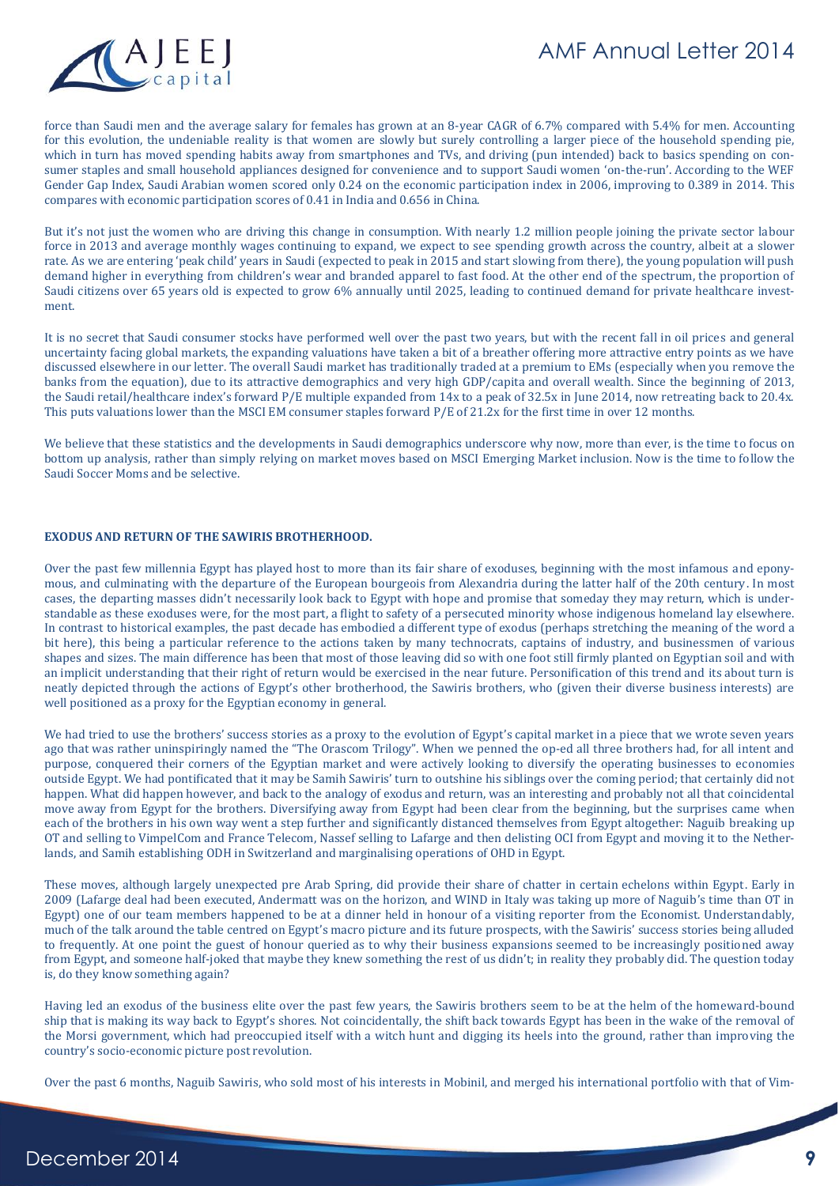

force than Saudi men and the average salary for females has grown at an 8-year CAGR of 6.7% compared with 5.4% for men. Accounting for this evolution, the undeniable reality is that women are slowly but surely controlling a larger piece of the household spending pie, which in turn has moved spending habits away from smartphones and TVs, and driving (pun intended) back to basics spending on consumer staples and small household appliances designed for convenience and to support Saudi women 'on-the-run'. According to the WEF Gender Gap Index, Saudi Arabian women scored only 0.24 on the economic participation index in 2006, improving to 0.389 in 2014. This compares with economic participation scores of 0.41 in India and 0.656 in China.

But it's not just the women who are driving this change in consumption. With nearly 1.2 million people joining the private sector labour force in 2013 and average monthly wages continuing to expand, we expect to see spending growth across the country, albeit at a slower rate. As we are entering 'peak child' years in Saudi (expected to peak in 2015 and start slowing from there), the young population will push demand higher in everything from children's wear and branded apparel to fast food. At the other end of the spectrum, the proportion of Saudi citizens over 65 years old is expected to grow 6% annually until 2025, leading to continued demand for private healthcare investment.

It is no secret that Saudi consumer stocks have performed well over the past two years, but with the recent fall in oil prices and general uncertainty facing global markets, the expanding valuations have taken a bit of a breather offering more attractive entry points as we have discussed elsewhere in our letter. The overall Saudi market has traditionally traded at a premium to EMs (especially when you remove the banks from the equation), due to its attractive demographics and very high GDP/capita and overall wealth. Since the beginning of 2013, the Saudi retail/healthcare index's forward P/E multiple expanded from 14x to a peak of 32.5x in June 2014, now retreating back to 20.4x. This puts valuations lower than the MSCI EM consumer staples forward P/E of 21.2x for the first time in over 12 months.

We believe that these statistics and the developments in Saudi demographics underscore why now, more than ever, is the time to focus on bottom up analysis, rather than simply relying on market moves based on MSCI Emerging Market inclusion. Now is the time to follow the Saudi Soccer Moms and be selective.

#### **EXODUS AND RETURN OF THE SAWIRIS BROTHERHOOD.**

Over the past few millennia Egypt has played host to more than its fair share of exoduses, beginning with the most infamous and eponymous, and culminating with the departure of the European bourgeois from Alexandria during the latter half of the 20th century. In most cases, the departing masses didn't necessarily look back to Egypt with hope and promise that someday they may return, which is understandable as these exoduses were, for the most part, a flight to safety of a persecuted minority whose indigenous homeland lay elsewhere. In contrast to historical examples, the past decade has embodied a different type of exodus (perhaps stretching the meaning of the word a bit here), this being a particular reference to the actions taken by many technocrats, captains of industry, and businessmen of various shapes and sizes. The main difference has been that most of those leaving did so with one foot still firmly planted on Egyptian soil and with an implicit understanding that their right of return would be exercised in the near future. Personification of this trend and its about turn is neatly depicted through the actions of Egypt's other brotherhood, the Sawiris brothers, who (given their diverse business interests) are well positioned as a proxy for the Egyptian economy in general.

We had tried to use the brothers' success stories as a proxy to the evolution of Egypt's capital market in a piece that we wrote seven years ago that was rather uninspiringly named the "The Orascom Trilogy". When we penned the op-ed all three brothers had, for all intent and purpose, conquered their corners of the Egyptian market and were actively looking to diversify the operating businesses to economies outside Egypt. We had pontificated that it may be Samih Sawiris' turn to outshine his siblings over the coming period; that certainly did not happen. What did happen however, and back to the analogy of exodus and return, was an interesting and probably not all that coincidental move away from Egypt for the brothers. Diversifying away from Egypt had been clear from the beginning, but the surprises came when each of the brothers in his own way went a step further and significantly distanced themselves from Egypt altogether: Naguib breaking up OT and selling to VimpelCom and France Telecom, Nassef selling to Lafarge and then delisting OCI from Egypt and moving it to the Netherlands, and Samih establishing ODH in Switzerland and marginalising operations of OHD in Egypt.

These moves, although largely unexpected pre Arab Spring, did provide their share of chatter in certain echelons within Egypt. Early in 2009 (Lafarge deal had been executed, Andermatt was on the horizon, and WIND in Italy was taking up more of Naguib's time than OT in Egypt) one of our team members happened to be at a dinner held in honour of a visiting reporter from the Economist. Understandably, much of the talk around the table centred on Egypt's macro picture and its future prospects, with the Sawiris' success stories being alluded to frequently. At one point the guest of honour queried as to why their business expansions seemed to be increasingly positioned away from Egypt, and someone half-joked that maybe they knew something the rest of us didn't; in reality they probably did. The question today is, do they know something again?

Having led an exodus of the business elite over the past few years, the Sawiris brothers seem to be at the helm of the homeward-bound ship that is making its way back to Egypt's shores. Not coincidentally, the shift back towards Egypt has been in the wake of the removal of the Morsi government, which had preoccupied itself with a witch hunt and digging its heels into the ground, rather than improving the country's socio-economic picture post revolution.

Over the past 6 months, Naguib Sawiris, who sold most of his interests in Mobinil, and merged his international portfolio with that of Vim-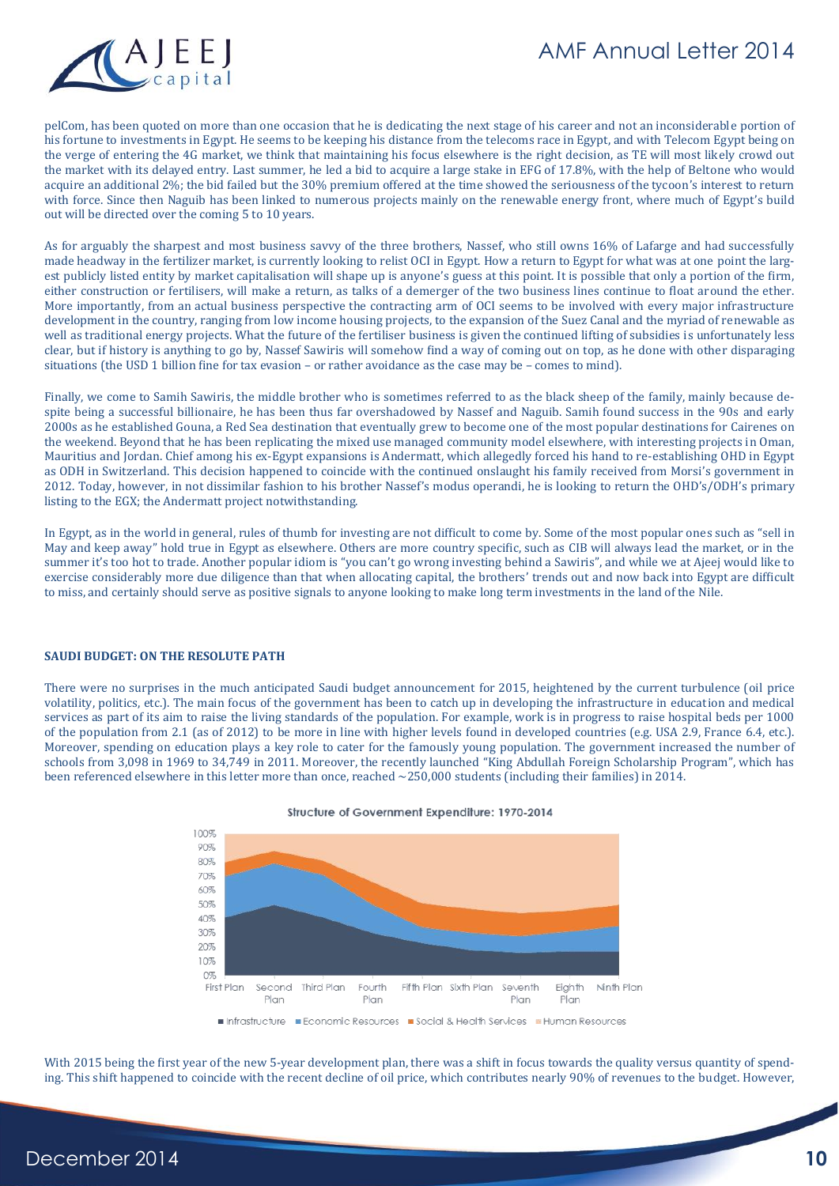

pelCom, has been quoted on more than one occasion that he is dedicating the next stage of his career and not an inconsiderable portion of his fortune to investments in Egypt. He seems to be keeping his distance from the telecoms race in Egypt, and with Telecom Egypt being on the verge of entering the 4G market, we think that maintaining his focus elsewhere is the right decision, as TE will most likely crowd out the market with its delayed entry. Last summer, he led a bid to acquire a large stake in EFG of 17.8%, with the help of Beltone who would acquire an additional 2%; the bid failed but the 30% premium offered at the time showed the seriousness of the tycoon's interest to return with force. Since then Naguib has been linked to numerous projects mainly on the renewable energy front, where much of Egypt's build out will be directed over the coming 5 to 10 years.

As for arguably the sharpest and most business savvy of the three brothers, Nassef, who still owns 16% of Lafarge and had successfully made headway in the fertilizer market, is currently looking to relist OCI in Egypt. How a return to Egypt for what was at one point the largest publicly listed entity by market capitalisation will shape up is anyone's guess at this point. It is possible that only a portion of the firm, either construction or fertilisers, will make a return, as talks of a demerger of the two business lines continue to float around the ether. More importantly, from an actual business perspective the contracting arm of OCI seems to be involved with every major infrastructure development in the country, ranging from low income housing projects, to the expansion of the Suez Canal and the myriad of renewable as well as traditional energy projects. What the future of the fertiliser business is given the continued lifting of subsidies is unfortunately less clear, but if history is anything to go by, Nassef Sawiris will somehow find a way of coming out on top, as he done with other disparaging situations (the USD 1 billion fine for tax evasion – or rather avoidance as the case may be – comes to mind).

Finally, we come to Samih Sawiris, the middle brother who is sometimes referred to as the black sheep of the family, mainly because despite being a successful billionaire, he has been thus far overshadowed by Nassef and Naguib. Samih found success in the 90s and early 2000s as he established Gouna, a Red Sea destination that eventually grew to become one of the most popular destinations for Cairenes on the weekend. Beyond that he has been replicating the mixed use managed community model elsewhere, with interesting projects in Oman, Mauritius and Jordan. Chief among his ex-Egypt expansions is Andermatt, which allegedly forced his hand to re-establishing OHD in Egypt as ODH in Switzerland. This decision happened to coincide with the continued onslaught his family received from Morsi's government in 2012. Today, however, in not dissimilar fashion to his brother Nassef's modus operandi, he is looking to return the OHD's/ODH's primary listing to the EGX; the Andermatt project notwithstanding.

In Egypt, as in the world in general, rules of thumb for investing are not difficult to come by. Some of the most popular ones such as "sell in May and keep away" hold true in Egypt as elsewhere. Others are more country specific, such as CIB will always lead the market, or in the summer it's too hot to trade. Another popular idiom is "you can't go wrong investing behind a Sawiris", and while we at Ajeej would like to exercise considerably more due diligence than that when allocating capital, the brothers' trends out and now back into Egypt are difficult to miss, and certainly should serve as positive signals to anyone looking to make long term investments in the land of the Nile.

#### **SAUDI BUDGET: ON THE RESOLUTE PATH**

There were no surprises in the much anticipated Saudi budget announcement for 2015, heightened by the current turbulence (oil price volatility, politics, etc.). The main focus of the government has been to catch up in developing the infrastructure in education and medical services as part of its aim to raise the living standards of the population. For example, work is in progress to raise hospital beds per 1000 of the population from 2.1 (as of 2012) to be more in line with higher levels found in developed countries (e.g. USA 2.9, France 6.4, etc.). Moreover, spending on education plays a key role to cater for the famously young population. The government increased the number of schools from 3,098 in 1969 to 34,749 in 2011. Moreover, the recently launched "King Abdullah Foreign Scholarship Program", which has been referenced elsewhere in this letter more than once, reached ~250,000 students (including their families) in 2014.



Structure of Government Expenditure: 1970-2014

With 2015 being the first year of the new 5-year development plan, there was a shift in focus towards the quality versus quantity of spending. This shift happened to coincide with the recent decline of oil price, which contributes nearly 90% of revenues to the budget. However,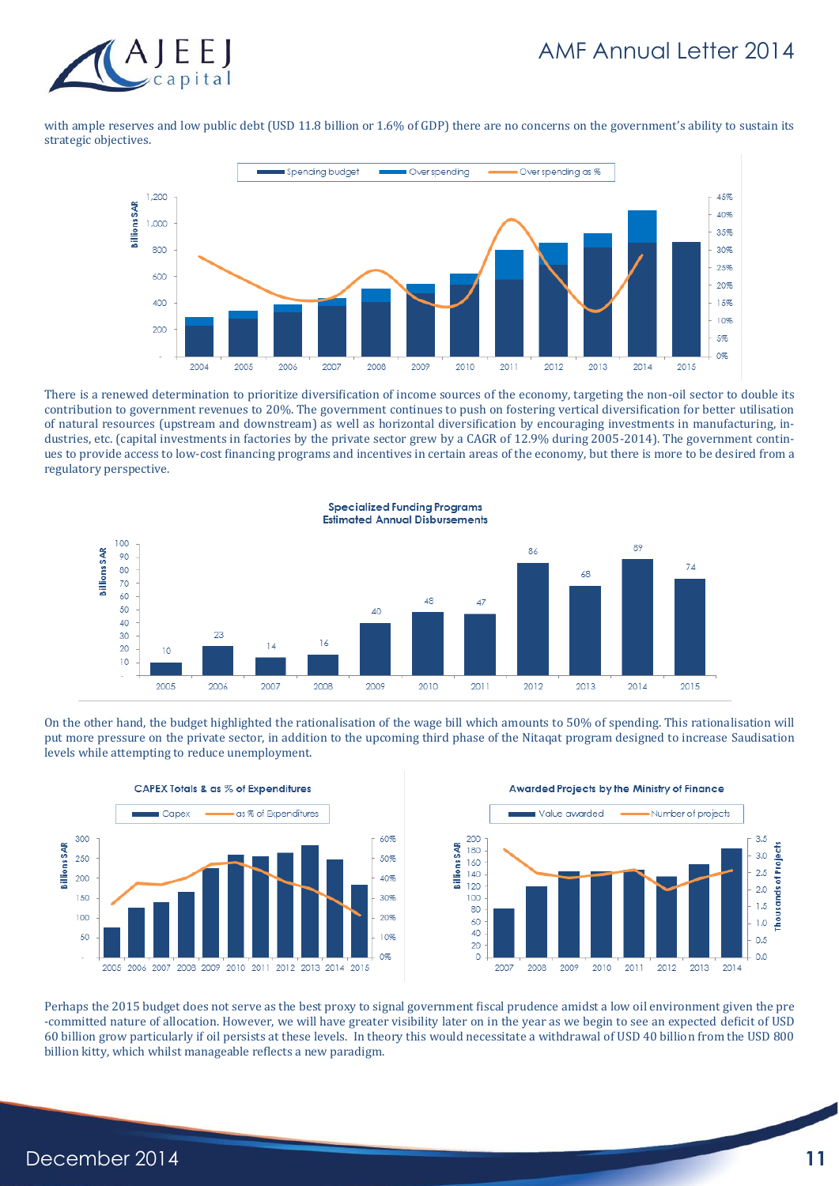

with ample reserves and low public debt (USD 11.8 billion or 1.6% of GDP) there are no concerns on the government's ability to sustain its strategic objectives.



There is a renewed determination to prioritize diversification of income sources of the economy, targeting the non-oil sector to double its contribution to government revenues to 20%. The government continues to push on fostering vertical diversification for better utilisation of natural resources (upstream and downstream) as well as horizontal diversification by encouraging investments in manufacturing, industries, etc. (capital investments in factories by the private sector grew by a CAGR of 12.9% during 2005-2014). The government continues to provide access to low-cost financing programs and incentives in certain areas of the economy, but there is more to be desired from a regulatory perspective.



On the other hand, the budget highlighted the rationalisation of the wage bill which amounts to 50% of spending. This rationalisation will put more pressure on the private sector, in addition to the upcoming third phase of the Nitaqat program designed to increase Saudisation levels while attempting to reduce unemployment.



**Awarded Projects by the Ministry of Finance** 



Perhaps the 2015 budget does not serve as the best proxy to signal government fiscal prudence amidst a low oil environment given the pre -committed nature of allocation. However, we will have greater visibility later on in the year as we begin to see an expected deficit of USD 60 billion grow particularly if oil persists at these levels. In theory this would necessitate a withdrawal of USD 40 billion from the USD 800 billion kitty, which whilst manageable reflects a new paradigm.